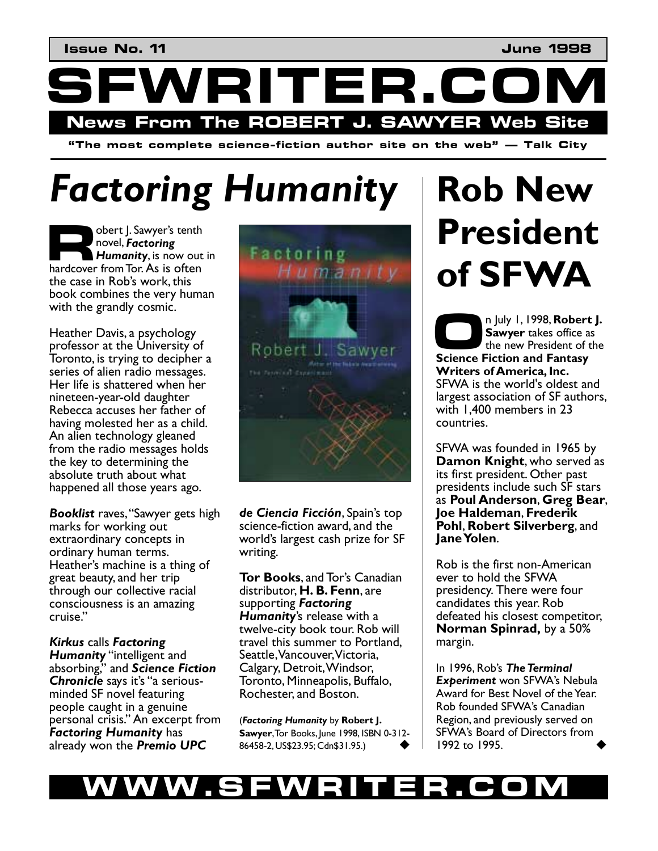WRITER.C **News From The ROBERT J. SAWYER Web Site** 

 $\mathbf{u}^*$  **i** The most complete science-fiction author site on the web  $\mathbf{v}$  — Talk City

# *Factoring Humanity*

obert J. Sawyer's tenth novel, *Factoring Humanity*, is now out in bert J. Sawyer's tenth<br>
novel, **Factoring**<br> **Humanity**, is now out<br>
hardcover from Tor. As is often the case in Rob's work, this book combines the very human with the grandly cosmic.

Heather Davis, a psychology professor at the University of Toronto, is trying to decipher a series of alien radio messages. Her life is shattered when her nineteen-year-old daughter Rebecca accuses her father of having molested her as a child. An alien technology gleaned from the radio messages holds the key to determining the absolute truth about what happened all those years ago.

**Booklist** raves, "Sawyer gets high marks for working out extraordinary concepts in ordinary human terms. Heather's machine is a thing of great beauty, and her trip through our collective racial consciousness is an amazing cruise."

*Kirkus* calls *Factoring*  **Humanity** "intelligent and absorbing," and Science Fiction **Chronicle** says it's "a seriousminded SF novel featuring people caught in a genuine personal crisis." An excerpt from *Factoring Humanity* has already won the *Premio UPC* 



**de Ciencia Ficción**, Spain's top science-fiction award, and the world's largest cash prize for SF writing.

**Tor Books**, and Tor's Canadian distributor, **H. B. Fenn**, are supporting *Factoring Humanity*ís release with a twelve-city book tour. Rob will travel this summer to Portland, Seattle, Vancouver, Victoria, Calgary, Detroit, Windsor, Toronto, Minneapolis, Buffalo, Rochester, and Boston.

(*Factoring Humanity* by **Robert J. Sawyer**, Tor Books, June 1998, ISBN 0-312- 86458-2, US\$23.95; Cdn\$31.95.) !

## **Rob New President of SFWA**

n July 1, 1998, **Robert J. Sawyer** takes office as the new President of the **Sawyer takes office a**<br>
the new President of the Science Fiction and Fantasy **Writers of America, Inc.**  SFWA is the world's oldest and largest association of SF authors, with 1,400 members in 23 countries.

SFWA was founded in 1965 by **Damon Knight**, who served as its first president. Other past presidents include such SF stars as **Poul Anderson**, **Greg Bear**, **Joe Haldeman**, **Frederik Pohl**, **Robert Silverberg**, and **Jane Yolen**.

Rob is the first non-American ever to hold the SFWA presidency. There were four candidates this year. Rob defeated his closest competitor, **Norman Spinrad,** by a 50% margin.

In 1996, Rob's The Terminal **Experiment** won SFWA's Nebula Award for Best Novel of the Year. Rob founded SFWAís Canadian Region, and previously served on SFWAís Board of Directors from 1992 to 1995.

#### W.SFWRITER.CO